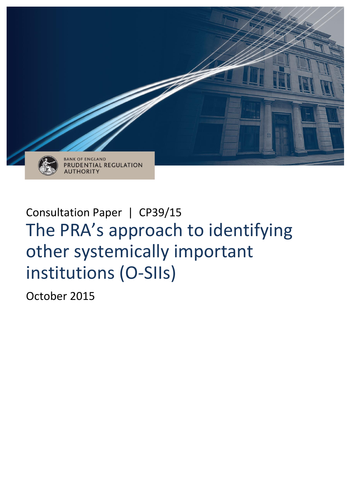

# Consultation Paper | CP39/15 The PRA's approach to identifying other systemically important institutions (O-SIIs)

October 2015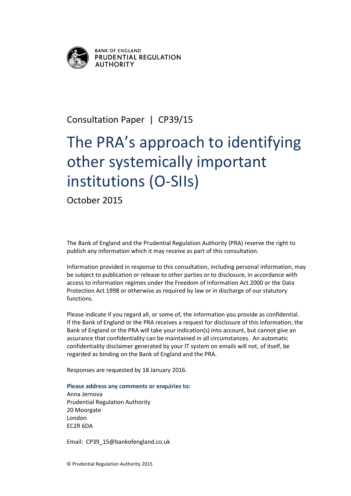

**BANK OF ENGLAND** PRUDENTIAL REGULATION **AUTHORITY** 

# Consultation Paper | CP39/15

# The PRA's approach to identifying other systemically important institutions (O-SIIs)

October 2015

The Bank of England and the Prudential Regulation Authority (PRA) reserve the right to publish any information which it may receive as part of this consultation.

Information provided in response to this consultation, including personal information, may be subject to publication or release to other parties or to disclosure, in accordance with access to information regimes under the Freedom of Information Act 2000 or the Data Protection Act 1998 or otherwise as required by law or in discharge of our statutory functions.

Please indicate if you regard all, or some of, the information you provide as confidential. If the Bank of England or the PRA receives a request for disclosure of this information, the Bank of England or the PRA will take your indication(s) into account, but cannot give an assurance that confidentiality can be maintained in all circumstances. An automatic confidentiality disclaimer generated by your IT system on emails will not, of itself, be regarded as binding on the Bank of England and the PRA.

Responses are requested by 18 January 2016.

#### **Please address any comments or enquiries to:**

Anna Jernova Prudential Regulation Authority 20 Moorgate London EC2R 6DA

Email: CP39\_15@bankofengland.co.uk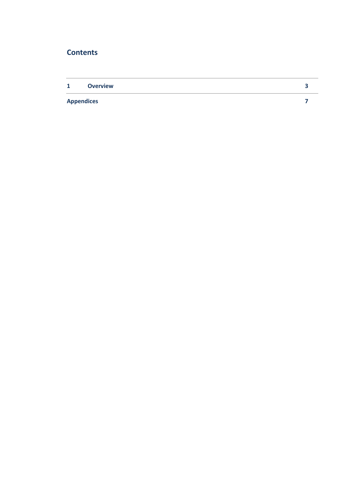# **Contents**

| $\mathbf{1}$      | <b>Overview</b> |  |
|-------------------|-----------------|--|
| <b>Appendices</b> |                 |  |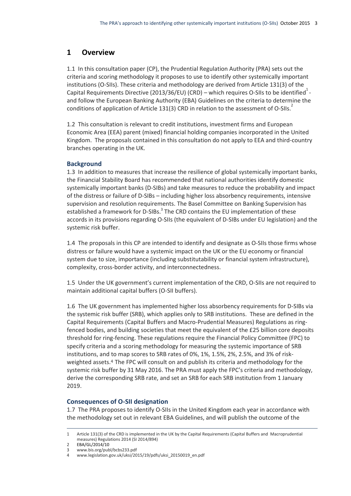# **1 Overview**

1.1 In this consultation paper (CP), the Prudential Regulation Authority (PRA) sets out the criteria and scoring methodology it proposes to use to identify other systemically important institutions (O-SIIs). These criteria and methodology are derived from Article 131(3) of the Capital Requirements Directive (2013/36/EU) (CRD) – which requires O-SIIs to be identified<sup>1</sup>and follow the European Banking Authority (EBA) Guidelines on the criteria to determine the conditions of application of Article 131(3) CRD in relation to the assessment of O-SIIs.<sup>2</sup>

1.2 This consultation is relevant to credit institutions, investment firms and European Economic Area (EEA) parent (mixed) financial holding companies incorporated in the United Kingdom. The proposals contained in this consultation do not apply to EEA and third-country branches operating in the UK.

#### **Background**

1.3 In addition to measures that increase the resilience of global systemically important banks, the Financial Stability Board has recommended that national authorities identify domestic systemically important banks (D-SIBs) and take measures to reduce the probability and impact of the distress or failure of D-SIBs – including higher loss absorbency requirements, intensive supervision and resolution requirements. The Basel Committee on Banking Supervision has established a framework for D-SIBs.<sup>3</sup> The CRD contains the EU implementation of these accords in its provisions regarding O-SIIs (the equivalent of D-SIBs under EU legislation) and the systemic risk buffer.

1.4 The proposals in this CP are intended to identify and designate as O-SIIs those firms whose distress or failure would have a systemic impact on the UK or the EU economy or financial system due to size, importance (including substitutability or financial system infrastructure), complexity, cross-border activity, and interconnectedness.

1.5 Under the UK government's current implementation of the CRD, O-SIIs are not required to maintain additional capital buffers (O-SII buffers).

1.6 The UK government has implemented higher loss absorbency requirements for D-SIBs via the systemic risk buffer (SRB), which applies only to SRB institutions. These are defined in the Capital Requirements (Capital Buffers and Macro-Prudential Measures) Regulations as ringfenced bodies, and building societies that meet the equivalent of the £25 billion core deposits threshold for ring-fencing. These regulations require the Financial Policy Committee (FPC) to specify criteria and a scoring methodology for measuring the systemic importance of SRB institutions, and to map scores to SRB rates of 0%, 1%, 1.5%, 2%, 2.5%, and 3% of riskweighted assets.4 The FPC will consult on and publish its criteria and methodology for the systemic risk buffer by 31 May 2016. The PRA must apply the FPC's criteria and methodology, derive the corresponding SRB rate, and set an SRB for each SRB institution from 1 January 2019.

#### **Consequences of O-SII designation**

1.7 The PRA proposes to identify O-SIIs in the United Kingdom each year in accordance with the methodology set out in relevant EBA Guidelines, and will publish the outcome of the

<sup>1</sup> Article 131(3) of the CRD is implemented in the UK by the Capital Requirements (Capital Buffers and Macroprudential measures) Regulations 2014 (SI 2014/894)

<sup>2</sup> [EBA/GL/2014/10](https://www.eba.europa.eu/documents/10180/930752/EBA-GL-2014-10+%28Guidelines+on+O-SIIs+Assessment%29.pdf)

<sup>3</sup> [www.bis.org/publ/bcbs233.pdf](http://www.bis.org/publ/bcbs233.pdf)

<sup>4</sup> [www.legislation.gov.uk/uksi/2015/19/pdfs/uksi\\_20150019\\_en.pdf](http://www.legislation.gov.uk/uksi/2015/19/pdfs/uksi_20150019_en.pdf)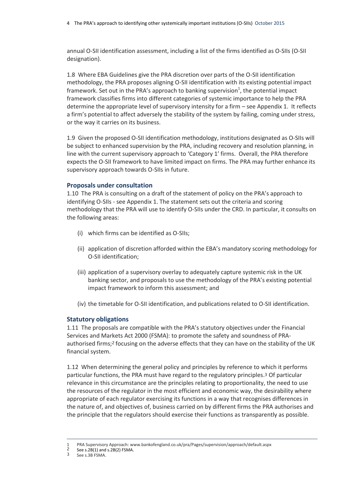annual O-SII identification assessment, including a list of the firms identified as O-SIIs (O-SII designation).

1.8 Where EBA Guidelines give the PRA discretion over parts of the O-SII identification methodology, the PRA proposes aligning O-SII identification with its existing potential impact framework. Set out in the PRA's approach to banking supervision<sup>1</sup>, the potential impact framework classifies firms into different categories of systemic importance to help the PRA determine the appropriate level of supervisory intensity for a firm – see Appendix 1. It reflects a firm's potential to affect adversely the stability of the system by failing, coming under stress, or the way it carries on its business.

1.9 Given the proposed O-SII identification methodology, institutions designated as O-SIIs will be subject to enhanced supervision by the PRA, including recovery and resolution planning, in line with the current supervisory approach to 'Category 1' firms. Overall, the PRA therefore expects the O-SII framework to have limited impact on firms. The PRA may further enhance its supervisory approach towards O-SIIs in future.

#### **Proposals under consultation**

1.10 The PRA is consulting on a draft of the statement of policy on the PRA's approach to identifying O-SIIs - see Appendix 1. The statement sets out the criteria and scoring methodology that the PRA will use to identify O-SIIs under the CRD. In particular, it consults on the following areas:

- (i) which firms can be identified as O-SIIs;
- (ii) application of discretion afforded within the EBA's mandatory scoring methodology for O-SII identification;
- (iii) application of a supervisory overlay to adequately capture systemic risk in the UK banking sector, and proposals to use the methodology of the PRA's existing potential impact framework to inform this assessment; and
- (iv) the timetable for O-SII identification, and publications related to O-SII identification.

#### **Statutory obligations**

1.11 The proposals are compatible with the PRA's statutory objectives under the Financial Services and Markets Act 2000 (FSMA): to promote the safety and soundness of PRAauthorised firms;2 focusing on the adverse effects that they can have on the stability of the UK financial system.

1.12 When determining the general policy and principles by reference to which it performs particular functions, the PRA must have regard to the regulatory principles.3 Of particular relevance in this circumstance are the principles relating to proportionality, the need to use the resources of the regulator in the most efficient and economic way, the desirability where appropriate of each regulator exercising its functions in a way that recognises differences in the nature of, and objectives of, business carried on by different firms the PRA authorises and the principle that the regulators should exercise their functions as transparently as possible.

<sup>1</sup> PRA Supervisory Approach[: www.bankofengland.co.uk/pra/Pages/supervision/approach/default.aspx](file:///C:/NRPortbl/PRA/321701/www.bankofengland.co.uk/pra/Pages/supervision/approach/default.aspx)<br>2 Soo s 2P(1) and s 2P(2) ESMA

 $\frac{2}{3}$  See s.2B(1) and s.2B(2) FSMA.

See s.3B FSMA.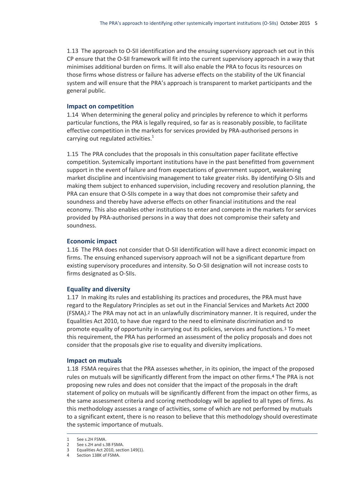1.13 The approach to O-SII identification and the ensuing supervisory approach set out in this CP ensure that the O-SII framework will fit into the current supervisory approach in a way that minimises additional burden on firms. It will also enable the PRA to focus its resources on those firms whose distress or failure has adverse effects on the stability of the UK financial system and will ensure that the PRA's approach is transparent to market participants and the general public.

#### **Impact on competition**

1.14 When determining the general policy and principles by reference to which it performs particular functions, the PRA is legally required, so far as is reasonably possible, to facilitate effective competition in the markets for services provided by PRA-authorised persons in carrying out regulated activities. $1$ 

1.15 The PRA concludes that the proposals in this consultation paper facilitate effective competition. Systemically important institutions have in the past benefitted from government support in the event of failure and from expectations of government support, weakening market discipline and incentivising management to take greater risks. By identifying O-SIIs and making them subject to enhanced supervision, including recovery and resolution planning, the PRA can ensure that O-SIIs compete in a way that does not compromise their safety and soundness and thereby have adverse effects on other financial institutions and the real economy. This also enables other institutions to enter and compete in the markets for services provided by PRA-authorised persons in a way that does not compromise their safety and soundness.

#### **Economic impact**

1.16 The PRA does not consider that O-SII identification will have a direct economic impact on firms. The ensuing enhanced supervisory approach will not be a significant departure from existing supervisory procedures and intensity. So O-SII designation will not increase costs to firms designated as O-SIIs.

#### **Equality and diversity**

1.17 In making its rules and establishing its practices and procedures, the PRA must have regard to the Regulatory Principles as set out in the Financial Services and Markets Act 2000 (FSMA).2 The PRA may not act in an unlawfully discriminatory manner. It is required, under the Equalities Act 2010, to have due regard to the need to eliminate discrimination and to promote equality of opportunity in carrying out its policies, services and functions.3 To meet this requirement, the PRA has performed an assessment of the policy proposals and does not consider that the proposals give rise to equality and diversity implications.

#### **Impact on mutuals**

1.18 FSMA requires that the PRA assesses whether, in its opinion, the impact of the proposed rules on mutuals will be significantly different from the impact on other firms.4 The PRA is not proposing new rules and does not consider that the impact of the proposals in the draft statement of policy on mutuals will be significantly different from the impact on other firms, as the same assessment criteria and scoring methodology will be applied to all types of firms. As this methodology assesses a range of activities, some of which are not performed by mutuals to a significant extent, there is no reason to believe that this methodology should overestimate the systemic importance of mutuals.

<sup>1</sup> See s.2H FSMA.

<sup>2</sup> See s.2H and s.3B FSMA.

<sup>3</sup> Equalities Act 2010, section 149(1).

<sup>4</sup> Section 138K of FSMA.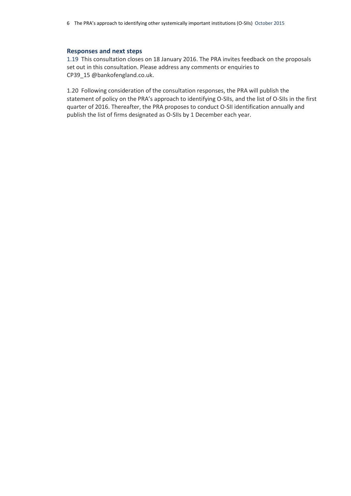#### **Responses and next steps**

1.19 This consultation closes on 18 January 2016. The PRA invites feedback on the proposals set out in this consultation. Please address any comments or enquiries to CP39 15 @bankofengland.co.uk.

1.20 Following consideration of the consultation responses, the PRA will publish the statement of policy on the PRA's approach to identifying O-SIIs, and the list of O-SIIs in the first quarter of 2016. Thereafter, the PRA proposes to conduct O-SII identification annually and publish the list of firms designated as O-SIIs by 1 December each year.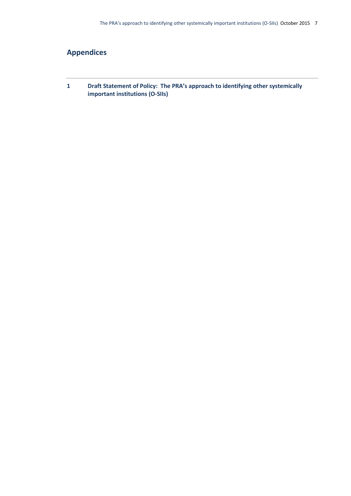# **Appendices**

**1 Draft Statement of Policy: The PRA's approach to identifying other systemically important institutions (O-SIIs)**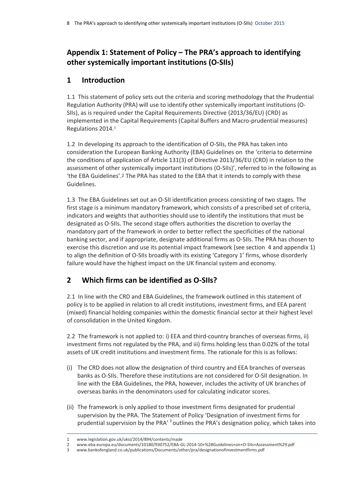# **Appendix 1: Statement of Policy – The PRA's approach to identifying other systemically important institutions (O-SIIs)**

## **1 Introduction**

1.1 This statement of policy sets out the criteria and scoring methodology that the Prudential Regulation Authority (PRA) will use to identify other systemically important institutions (O-SIIs), as is required under the Capital Requirements Directive (2013/36/EU) (CRD) as implemented in the Capital Requirements (Capital Buffers and Macro-prudential measures) Regulations 2014.1

1.2 In developing its approach to the identification of O-SIIs, the PRA has taken into consideration the European Banking Authority (EBA) Guidelines on the 'criteria to determine the conditions of application of Article 131(3) of Directive 2013/36/EU (CRD) in relation to the assessment of other systemically important institutions (O-SIIs)', referred to in the following as 'the EBA Guidelines'.2 The PRA has stated to the EBA that it intends to comply with these Guidelines.

1.3 The EBA Guidelines set out an O-SII identification process consisting of two stages. The first stage is a minimum mandatory framework, which consists of a prescribed set of criteria, indicators and weights that authorities should use to identify the institutions that must be designated as O-SIIs. The second stage offers authorities the discretion to overlay the mandatory part of the framework in order to better reflect the specificities of the national banking sector, and if appropriate, designate additional firms as O-SIIs. The PRA has chosen to exercise this discretion and use its potential impact framework (see section 4 and appendix 1) to align the definition of O-SIIs broadly with its existing 'Category 1' firms, whose disorderly failure would have the highest impact on the UK financial system and economy.

# **2 Which firms can be identified as O-SIIs?**

2.1 In line with the CRD and EBA Guidelines, the framework outlined in this statement of policy is to be applied in relation to all credit institutions, investment firms, and EEA parent (mixed) financial holding companies within the domestic financial sector at their highest level of consolidation in the United Kingdom.

2.2 The framework is not applied to: i) EEA and third-country branches of overseas firms, ii) investment firms not regulated by the PRA, and iii) firms holding less than 0.02% of the total assets of UK credit institutions and investment firms. The rationale for this is as follows:

- (i) The CRD does not allow the designation of third country and EEA branches of overseas banks as O-SIIs. Therefore these institutions are not considered for O-SII designation. In line with the EBA Guidelines, the PRA, however, includes the activity of UK branches of overseas banks in the denominators used for calculating indicator scores.
- (ii) The framework is only applied to those investment firms designated for prudential supervision by the PRA. The Statement of Policy 'Designation of investment firms for prudential supervision by the PRA'<sup>3</sup> outlines the PRA's designation policy, which takes into

 $\overline{a}$ 1 [www.legislation.gov.uk/uksi/2014/894/contents/made](http://www.legislation.gov.uk/uksi/2014/894/contents/made)

<sup>2</sup> [www.eba.europa.eu/documents/10180/930752/EBA-GL-2014-10+%28Guidelines+on+O-SIIs+Assessment%29.pdf](https://www.eba.europa.eu/documents/10180/930752/EBA-GL-2014-10+%28Guidelines+on+O-SIIs+Assessment%29.pdf)

<sup>3</sup> [www.bankofengland.co.uk/publications/Documents/other/pra/designationofinvestmentfirms.pdf](http://www.bankofengland.co.uk/publications/Documents/other/pra/designationofinvestmentfirms.pdf)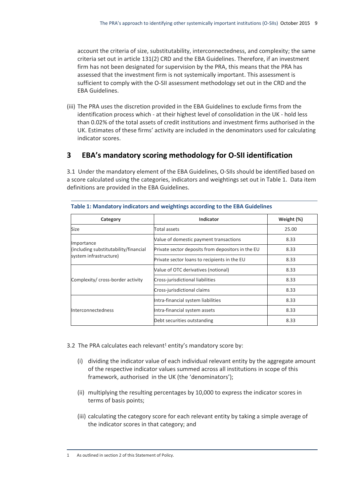account the criteria of size, substitutability, interconnectedness, and complexity; the same criteria set out in article 131(2) CRD and the EBA Guidelines. Therefore, if an investment firm has not been designated for supervision by the PRA, this means that the PRA has assessed that the investment firm is not systemically important. This assessment is sufficient to comply with the O-SII assessment methodology set out in the CRD and the EBA Guidelines.

(iii) The PRA uses the discretion provided in the EBA Guidelines to exclude firms from the identification process which - at their highest level of consolidation in the UK - hold less than 0.02% of the total assets of credit institutions and investment firms authorised in the UK. Estimates of these firms' activity are included in the denominators used for calculating indicator scores.

### **3 EBA's mandatory scoring methodology for O-SII identification**

3.1 Under the mandatory element of the EBA Guidelines, O-SIIs should be identified based on a score calculated using the categories, indicators and weightings set out in Table 1. Data item definitions are provided in the EBA Guidelines.

| Category                              | <b>Indicator</b>                                  | Weight (%) |
|---------------------------------------|---------------------------------------------------|------------|
| Size                                  | Total assets                                      | 25.00      |
| Importance                            | Value of domestic payment transactions            | 8.33       |
| (including substitutability/financial | Private sector deposits from depositors in the EU | 8.33       |
| system infrastructure)                | Private sector loans to recipients in the EU      | 8.33       |
|                                       | Value of OTC derivatives (notional)               | 8.33       |
| Complexity/ cross-border activity     | Cross-jurisdictional liabilities                  | 8.33       |
|                                       | Cross-jurisdictional claims                       | 8.33       |
|                                       | Intra-financial system liabilities                | 8.33       |
| Interconnectedness                    | Intra-financial system assets                     | 8.33       |
|                                       | Debt securities outstanding                       | 8.33       |

#### **Table 1: Mandatory indicators and weightings according to the EBA Guidelines**

3.2 The PRA calculates each relevant<sup>1</sup> entity's mandatory score by:

- (i) dividing the indicator value of each individual relevant entity by the aggregate amount of the respective indicator values summed across all institutions in scope of this framework, authorised in the UK (the 'denominators');
- (ii) multiplying the resulting percentages by 10,000 to express the indicator scores in terms of basis points;
- (iii) calculating the category score for each relevant entity by taking a simple average of the indicator scores in that category; and

 $\overline{a}$ 1 As outlined in section 2 of this Statement of Policy.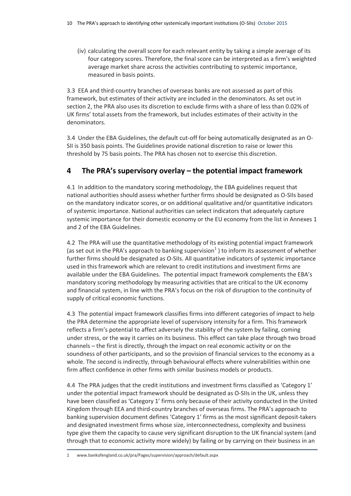(iv) calculating the overall score for each relevant entity by taking a simple average of its four category scores. Therefore, the final score can be interpreted as a firm's weighted average market share across the activities contributing to systemic importance, measured in basis points.

3.3 EEA and third-country branches of overseas banks are not assessed as part of this framework, but estimates of their activity are included in the denominators. As set out in section 2, the PRA also uses its discretion to exclude firms with a share of less than 0.02% of UK firms' total assets from the framework, but includes estimates of their activity in the denominators.

3.4 Under the EBA Guidelines, the default cut-off for being automatically designated as an O-SII is 350 basis points. The Guidelines provide national discretion to raise or lower this threshold by 75 basis points. The PRA has chosen not to exercise this discretion.

## **4 The PRA's supervisory overlay – the potential impact framework**

4.1 In addition to the mandatory scoring methodology, the EBA guidelines request that national authorities should assess whether further firms should be designated as O-SIIs based on the mandatory indicator scores, or on additional qualitative and/or quantitative indicators of systemic importance. National authorities can select indicators that adequately capture systemic importance for their domestic economy or the EU economy from the list in Annexes 1 and 2 of the EBA Guidelines.

4.2 The PRA will use the quantitative methodology of its existing potential impact framework (as set out in the PRA's approach to banking supervision<sup>1</sup>) to inform its assessment of whether further firms should be designated as O-SIIs. All quantitative indicators of systemic importance used in this framework which are relevant to credit institutions and investment firms are available under the EBA Guidelines. The potential impact framework complements the EBA's mandatory scoring methodology by measuring activities that are critical to the UK economy and financial system, in line with the PRA's focus on the risk of disruption to the continuity of supply of critical economic functions.

4.3 The potential impact framework classifies firms into different categories of impact to help the PRA determine the appropriate level of supervisory intensity for a firm. This framework reflects a firm's potential to affect adversely the stability of the system by failing, coming under stress, or the way it carries on its business. This effect can take place through two broad channels – the first is directly, through the impact on real economic activity or on the soundness of other participants, and so the provision of financial services to the economy as a whole. The second is indirectly, through behavioural effects where vulnerabilities within one firm affect confidence in other firms with similar business models or products.

4.4 The PRA judges that the credit institutions and investment firms classified as 'Category 1' under the potential impact framework should be designated as O-SIIs in the UK, unless they have been classified as 'Category 1' firms only because of their activity conducted in the United Kingdom through EEA and third-country branches of overseas firms. The PRA's approach to banking supervision document defines 'Category 1' firms as the most significant deposit-takers and designated investment firms whose size, interconnectedness, complexity and business type give them the capacity to cause very significant disruption to the UK financial system (and through that to economic activity more widely) by failing or by carrying on their business in an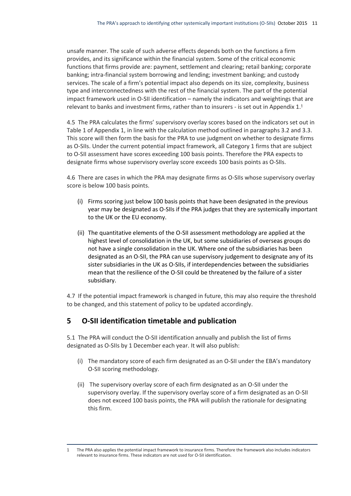unsafe manner. The scale of such adverse effects depends both on the functions a firm provides, and its significance within the financial system. Some of the critical economic functions that firms provide are: payment, settlement and clearing; retail banking; corporate banking; intra-financial system borrowing and lending; investment banking; and custody services. The scale of a firm's potential impact also depends on its size, complexity, business type and interconnectedness with the rest of the financial system. The part of the potential impact framework used in O-SII identification – namely the indicators and weightings that are relevant to banks and investment firms, rather than to insurers - is set out in Appendix 1. 1

4.5 The PRA calculates the firms' supervisory overlay scores based on the indicators set out in Table 1 of Appendix 1, in line with the calculation method outlined in paragraphs 3.2 and 3.3. This score will then form the basis for the PRA to use judgment on whether to designate firms as O-SIIs. Under the current potential impact framework, all Category 1 firms that are subject to O-SII assessment have scores exceeding 100 basis points. Therefore the PRA expects to designate firms whose supervisory overlay score exceeds 100 basis points as O-SIIs.

4.6 There are cases in which the PRA may designate firms as O-SIIs whose supervisory overlay score is below 100 basis points.

- (i) Firms scoring just below 100 basis points that have been designated in the previous year may be designated as O-SIIs if the PRA judges that they are systemically important to the UK or the EU economy.
- (ii) The quantitative elements of the O-SII assessment methodology are applied at the highest level of consolidation in the UK, but some subsidiaries of overseas groups do not have a single consolidation in the UK. Where one of the subsidiaries has been designated as an O-SII, the PRA can use supervisory judgement to designate any of its sister subsidiaries in the UK as O-SIIs, if interdependencies between the subsidiaries mean that the resilience of the O-SII could be threatened by the failure of a sister subsidiary.

4.7 If the potential impact framework is changed in future, this may also require the threshold to be changed, and this statement of policy to be updated accordingly.

### **5 O-SII identification timetable and publication**

5.1 The PRA will conduct the O-SII identification annually and publish the list of firms designated as O-SIIs by 1 December each year. It will also publish:

- (i) The mandatory score of each firm designated as an O-SII under the EBA's mandatory O-SII scoring methodology.
- (ii) The supervisory overlay score of each firm designated as an O-SII under the supervisory overlay. If the supervisory overlay score of a firm designated as an O-SII does not exceed 100 basis points, the PRA will publish the rationale for designating this firm.

 $\overline{a}$ 1 The PRA also applies the potential impact framework to insurance firms. Therefore the framework also includes indicators relevant to insurance firms. These indicators are not used for O-SII identification.